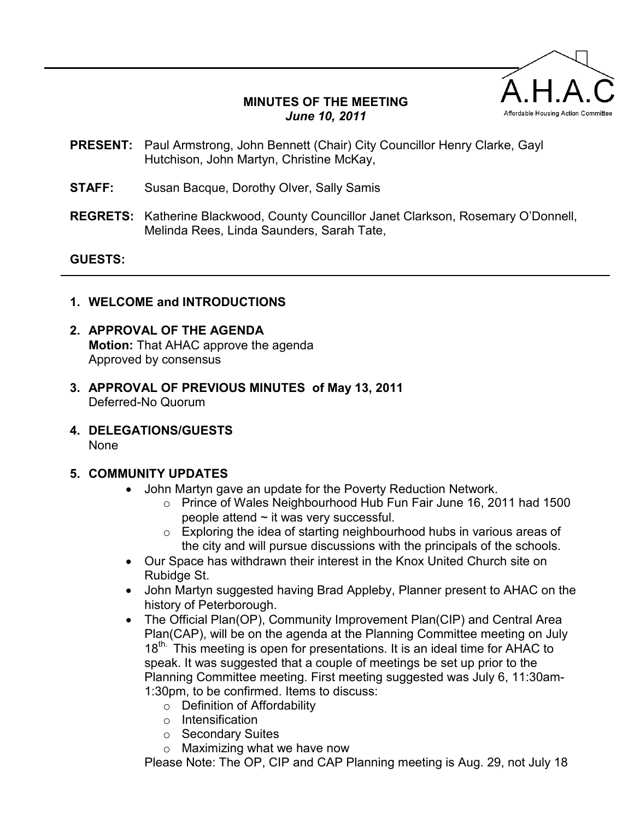

## **MINUTES OF THE MEETING**  *June 10, 2011*

- **PRESENT:** Paul Armstrong, John Bennett (Chair) City Councillor Henry Clarke, Gayl Hutchison, John Martyn, Christine McKay,
- **STAFF:** Susan Bacque, Dorothy Olver, Sally Samis
- **REGRETS:** Katherine Blackwood, County Councillor Janet Clarkson, Rosemary O'Donnell, Melinda Rees, Linda Saunders, Sarah Tate,

#### **GUESTS:**

### **1. WELCOME and INTRODUCTIONS**

- **2. APPROVAL OF THE AGENDA Motion:** That AHAC approve the agenda Approved by consensus
- **3. APPROVAL OF PREVIOUS MINUTES of May 13, 2011**  Deferred-No Quorum
- **4. DELEGATIONS/GUESTS**  None

### **5. COMMUNITY UPDATES**

- John Martyn gave an update for the Poverty Reduction Network.
	- o Prince of Wales Neighbourhood Hub Fun Fair June 16, 2011 had 1500 people attend  $\sim$  it was very successful.
	- o Exploring the idea of starting neighbourhood hubs in various areas of the city and will pursue discussions with the principals of the schools.
- Our Space has withdrawn their interest in the Knox United Church site on Rubidge St.
- John Martyn suggested having Brad Appleby, Planner present to AHAC on the history of Peterborough.
- The Official Plan(OP), Community Improvement Plan(CIP) and Central Area Plan(CAP), will be on the agenda at the Planning Committee meeting on July  $18<sup>th</sup>$ . This meeting is open for presentations. It is an ideal time for AHAC to speak. It was suggested that a couple of meetings be set up prior to the Planning Committee meeting. First meeting suggested was July 6, 11:30am-1:30pm, to be confirmed. Items to discuss:
	- o Definition of Affordability
	- o Intensification
	- o Secondary Suites
	- o Maximizing what we have now

Please Note: The OP, CIP and CAP Planning meeting is Aug. 29, not July 18